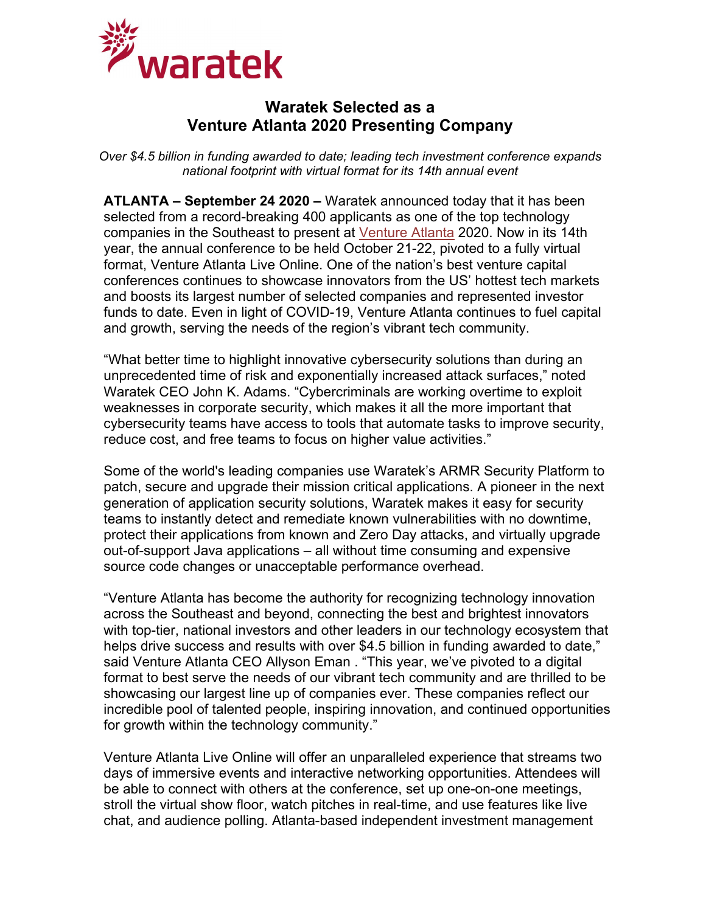

## **Waratek Selected as a Venture Atlanta 2020 Presenting Company**

*Over \$4.5 billion in funding awarded to date; leading tech investment conference expands national footprint with virtual format for its 14th annual event*

**ATLANTA – September 24 2020 –** Waratek announced today that it has been selected from a record-breaking 400 applicants as one of the top technology companies in the Southeast to present at [Venture Atlanta](http://www.ventureatlanta.org/) 2020. Now in its 14th year, the annual conference to be held October 21-22, pivoted to a fully virtual format, Venture Atlanta Live Online. One of the nation's best venture capital conferences continues to showcase innovators from the US' hottest tech markets and boosts its largest number of selected companies and represented investor funds to date. Even in light of COVID-19, Venture Atlanta continues to fuel capital and growth, serving the needs of the region's vibrant tech community.

"What better time to highlight innovative cybersecurity solutions than during an unprecedented time of risk and exponentially increased attack surfaces," noted Waratek CEO John K. Adams. "Cybercriminals are working overtime to exploit weaknesses in corporate security, which makes it all the more important that cybersecurity teams have access to tools that automate tasks to improve security, reduce cost, and free teams to focus on higher value activities."

Some of the world's leading companies use Waratek's ARMR Security Platform to patch, secure and upgrade their mission critical applications. A pioneer in the next generation of application security solutions, Waratek makes it easy for security teams to instantly detect and remediate known vulnerabilities with no downtime, protect their applications from known and Zero Day attacks, and virtually upgrade out-of-support Java applications – all without time consuming and expensive source code changes or unacceptable performance overhead.

"Venture Atlanta has become the authority for recognizing technology innovation across the Southeast and beyond, connecting the best and brightest innovators with top-tier, national investors and other leaders in our technology ecosystem that helps drive success and results with over \$4.5 billion in funding awarded to date," said Venture Atlanta CEO Allyson Eman . "This year, we've pivoted to a digital format to best serve the needs of our vibrant tech community and are thrilled to be showcasing our largest line up of companies ever. These companies reflect our incredible pool of talented people, inspiring innovation, and continued opportunities for growth within the technology community."

Venture Atlanta Live Online will offer an unparalleled experience that streams two days of immersive events and interactive networking opportunities. Attendees will be able to connect with others at the conference, set up one-on-one meetings, stroll the virtual show floor, watch pitches in real-time, and use features like live chat, and audience polling. Atlanta-based independent investment management